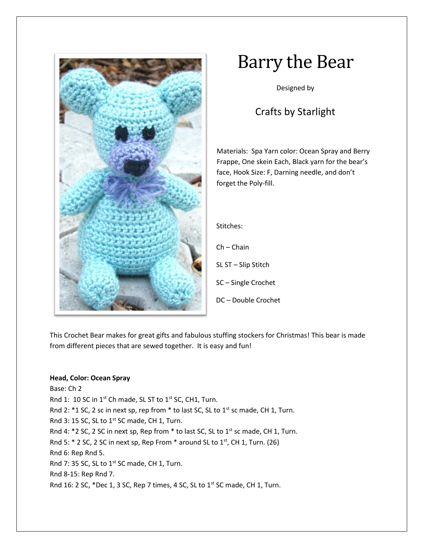

# Barry the Bear

Designed by

# Crafts by Starlight

Materials: Spa Yarn color: Ocean Spray and Berry Frappe, One skein Each, Black yarn for the bear's face, Hook Size: F, Darning needle, and don't forget the Poly-fill.

Stitches:

Ch – Chain

SL ST – Slip Stitch

SC – Single Crochet

DC – Double Crochet

This Crochet Bear makes for great gifts and fabulous stuffing stockers for Christmas! This bear is made from different pieces that are sewed together. It is easy and fun!

# **Head, Color: Ocean Spray**

Base: Ch 2 Rnd 1: 10 SC in 1<sup>st</sup> Ch made, SL ST to 1<sup>st</sup> SC, CH1, Turn. Rnd 2:  $*1$  SC, 2 sc in next sp, rep from  $*$  to last SC, SL to  $1<sup>st</sup>$  sc made, CH 1, Turn. Rnd 3: 15 SC, SL to  $1^{st}$  SC made, CH 1, Turn. Rnd 4:  $*$ 2 SC, 2 SC in next sp, Rep from  $*$  to last SC, SL to 1st sc made, CH 1, Turn. Rnd 5:  $*$  2 SC, 2 SC in next sp, Rep From  $*$  around SL to  $1<sup>st</sup>$ , CH 1, Turn. (26) Rnd 6: Rep Rnd 5. Rnd 7: 35 SC, SL to 1<sup>st</sup> SC made, CH 1, Turn. Rnd 8-15: Rep Rnd 7. Rnd 16: 2 SC, \*Dec 1, 3 SC, Rep 7 times, 4 SC, SL to 1<sup>st</sup> SC made, CH 1, Turn.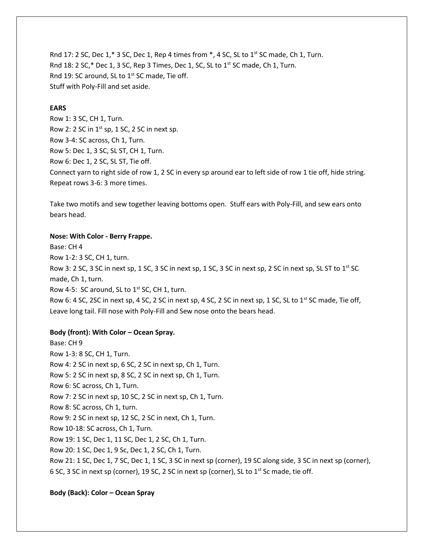Rnd 17: 2 SC, Dec 1,\* 3 SC, Dec 1, Rep 4 times from  $*$ , 4 SC, SL to 1<sup>st</sup> SC made, Ch 1, Turn. Rnd 18: 2 SC, $*$  Dec 1, 3 SC, Rep 3 Times, Dec 1, SC, SL to 1st SC made, Ch 1, Turn. Rnd 19: SC around, SL to 1<sup>st</sup> SC made, Tie off. Stuff with Poly-Fill and set aside.

### **EARS**

Row 1: 3 SC, CH 1, Turn. Row 2: 2 SC in  $1^{st}$  sp, 1 SC, 2 SC in next sp. Row 3-4: SC across, Ch 1, Turn. Row 5: Dec 1, 3 SC, SL ST, CH 1, Turn. Row 6: Dec 1, 2 SC, SL ST, Tie off. Connect yarn to right side of row 1, 2 SC in every sp around ear to left side of row 1 tie off, hide string. Repeat rows 3-6: 3 more times.

Take two motifs and sew together leaving bottoms open. Stuff ears with Poly-Fill, and sew ears onto bears head.

## **Nose: With Color - Berry Frappe.**

Base: CH 4 Row 1-2: 3 SC, CH 1, turn. Row 3: 2 SC, 3 SC in next sp, 1 SC, 3 SC in next sp, 1 SC, 3 SC in next sp, 2 SC in next sp, SL ST to  $1^{st}$  SC made, Ch 1, turn. Row 4-5: SC around, SL to  $1^{st}$  SC, CH 1, turn. Row 6: 4 SC, 2SC in next sp, 4 SC, 2 SC in next sp, 4 SC, 2 SC in next sp, 1 SC, SL to 1<sup>st</sup> SC made, Tie off, Leave long tail. Fill nose with Poly-Fill and Sew nose onto the bears head.

#### **Body (front): With Color – Ocean Spray.**

Base: CH 9 Row 1-3: 8 SC, CH 1, Turn. Row 4: 2 SC in next sp, 6 SC, 2 SC in next sp, Ch 1, Turn. Row 5: 2 SC in next sp, 8 SC, 2 SC in next sp, Ch 1, Turn. Row 6: SC across, Ch 1, Turn. Row 7: 2 SC in next sp, 10 SC, 2 SC in next sp, Ch 1, Turn. Row 8: SC across, Ch 1, turn. Row 9: 2 SC in next sp, 12 SC, 2 SC in next, Ch 1, Turn. Row 10-18: SC across, Ch 1, Turn. Row 19: 1 SC, Dec 1, 11 SC, Dec 1, 2 SC, Ch 1, Turn. Row 20: 1 SC, Dec 1, 9 Sc, Dec 1, 2 SC, Ch 1, Turn. Row 21: 1 SC, Dec 1, 7 SC, Dec 1, 1 SC, 3 SC in next sp (corner), 19 SC along side, 3 SC in next sp (corner), 6 SC, 3 SC in next sp (corner), 19 SC, 2 SC in next sp (corner), SL to  $1<sup>st</sup>$  Sc made, tie off.

#### **Body (Back): Color – Ocean Spray**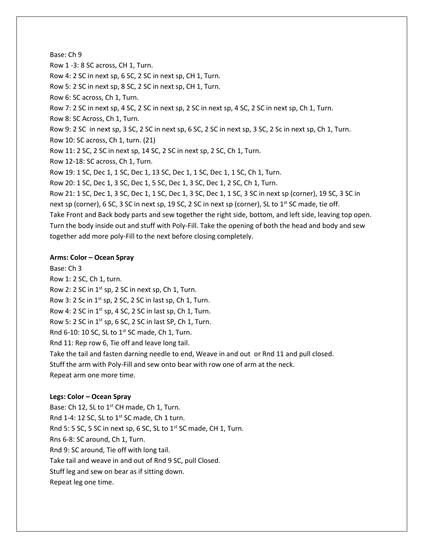#### Base: Ch 9

Row 1 -3: 8 SC across, CH 1, Turn.

Row 4: 2 SC in next sp, 6 SC, 2 SC in next sp, CH 1, Turn.

Row 5: 2 SC in next sp, 8 SC, 2 SC in next sp, CH 1, Turn.

Row 6: SC across, Ch 1, Turn.

Row 7: 2 SC in next sp, 4 SC, 2 SC in next sp, 2 SC in next sp, 4 SC, 2 SC in next sp, Ch 1, Turn.

Row 8: SC Across, Ch 1, Turn.

Row 9: 2 SC in next sp, 3 SC, 2 SC in next sp, 6 SC, 2 SC in next sp, 3 SC, 2 Sc in next sp, Ch 1, Turn.

Row 10: SC across, Ch 1, turn. (21)

Row 11: 2 SC, 2 SC in next sp, 14 SC, 2 SC in next sp, 2 SC, Ch 1, Turn.

Row 12-18: SC across, Ch 1, Turn.

Row 19: 1 SC, Dec 1, 1 SC, Dec 1, 13 SC, Dec 1, 1 SC, Dec 1, 1 SC, Ch 1, Turn.

Row 20: 1 SC, Dec 1, 3 SC, Dec 1, 5 SC, Dec 1, 3 SC, Dec 1, 2 SC, Ch 1, Turn.

Row 21: 1 SC, Dec 1, 3 SC, Dec 1, 1 SC, Dec 1, 3 SC, Dec 1, 1 SC, 3 SC in next sp (corner), 19 SC, 3 SC in next sp (corner), 6 SC, 3 SC in next sp, 19 SC, 2 SC in next sp (corner), SL to 1<sup>st</sup> SC made, tie off. Take Front and Back body parts and sew together the right side, bottom, and left side, leaving top open. Turn the body inside out and stuff with Poly-Fill. Take the opening of both the head and body and sew

together add more poly-Fill to the next before closing completely.

#### **Arms: Color – Ocean Spray**

Base: Ch 3 Row 1: 2 SC, Ch 1, turn. Row 2: 2 SC in  $1^{st}$  sp, 2 SC in next sp, Ch 1, Turn. Row 3: 2 Sc in  $1^{st}$  sp, 2 SC, 2 SC in last sp, Ch 1, Turn. Row 4: 2 SC in  $1^{st}$  sp, 4 SC, 2 SC in last sp, Ch 1, Turn. Row 5: 2 SC in  $1^{st}$  sp, 6 SC, 2 SC in last SP, Ch 1, Turn. Rnd 6-10: 10 SC, SL to  $1<sup>st</sup>$  SC made, Ch 1, Turn. Rnd 11: Rep row 6, Tie off and leave long tail. Take the tail and fasten darning needle to end, Weave in and out or Rnd 11 and pull closed. Stuff the arm with Poly-Fill and sew onto bear with row one of arm at the neck.

Repeat arm one more time.

#### **Legs: Color – Ocean Spray**

Base: Ch 12, SL to 1<sup>st</sup> CH made, Ch 1, Turn. Rnd 1-4: 12 SC, SL to  $1<sup>st</sup>$  SC made, Ch 1 turn. Rnd 5: 5 SC, 5 SC in next sp, 6 SC, SL to  $1<sup>st</sup>$  SC made, CH 1, Turn. Rns 6-8: SC around, Ch 1, Turn. Rnd 9: SC around, Tie off with long tail. Take tail and weave in and out of Rnd 9 SC, pull Closed. Stuff leg and sew on bear as if sitting down. Repeat leg one time.